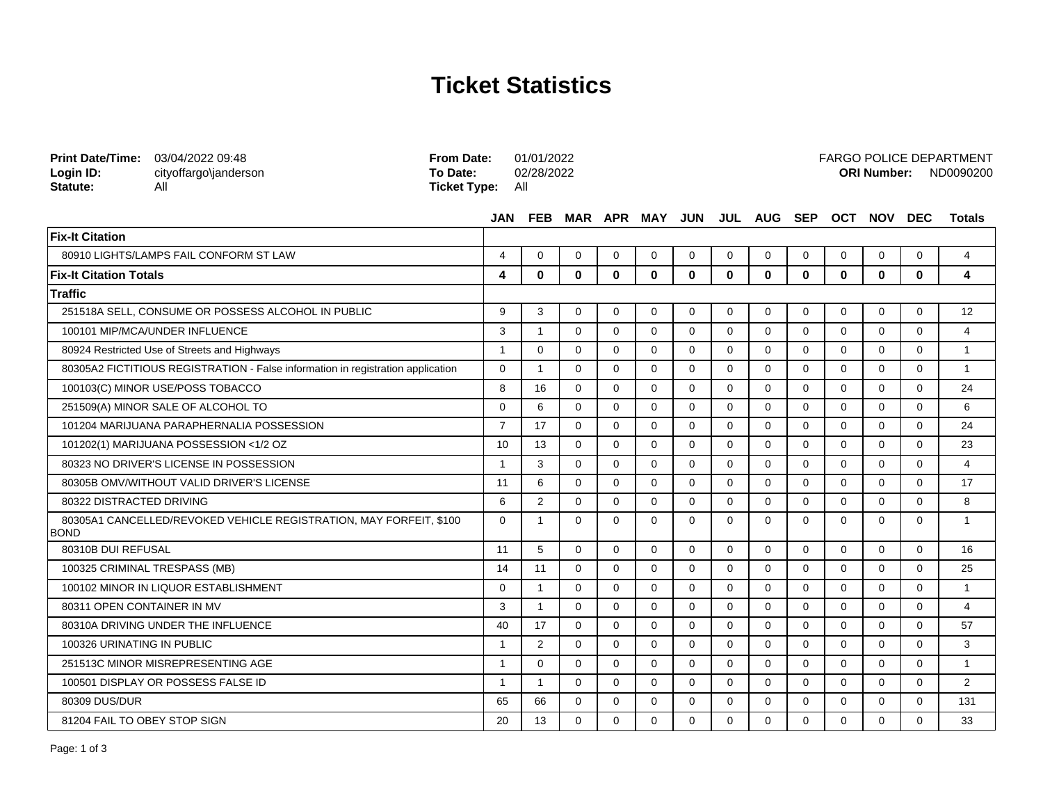## **Ticket Statistics**

**From Date:** 01/01/2022

FARGO POLICE DEPARTMENT

| <b>Print Date/Time:</b><br>Login ID:<br>Statute:                                  | 03/04/2022 09:48<br>cityoffargo\janderson<br>All                                | <b>From Date:</b><br>To Date:<br><b>Ticket Type:</b> | All            | 01/01/2022<br>02/28/2022 |             |             |             |              |             |                                     |              |          |              |            | <b>FARGO POLICE DEPARTMENT</b><br>ORI Number: ND0090200 |
|-----------------------------------------------------------------------------------|---------------------------------------------------------------------------------|------------------------------------------------------|----------------|--------------------------|-------------|-------------|-------------|--------------|-------------|-------------------------------------|--------------|----------|--------------|------------|---------------------------------------------------------|
|                                                                                   |                                                                                 |                                                      |                |                          |             |             |             |              |             | JAN FEB MAR APR MAY JUN JUL AUG SEP |              |          | OCT NOV      | <b>DEC</b> | <b>Totals</b>                                           |
| <b>Fix-It Citation</b>                                                            |                                                                                 |                                                      |                |                          |             |             |             |              |             |                                     |              |          |              |            |                                                         |
|                                                                                   | 80910 LIGHTS/LAMPS FAIL CONFORM ST LAW                                          |                                                      | 4              | $\Omega$                 | $\Omega$    | $\Omega$    | $\Omega$    | $\Omega$     | $\Omega$    | $\Omega$                            | $\Omega$     | $\Omega$ | $\Omega$     | $\Omega$   | $\overline{4}$                                          |
| <b>Fix-It Citation Totals</b>                                                     |                                                                                 |                                                      | 4              | $\bf{0}$                 | $\bf{0}$    | $\bf{0}$    | $\bf{0}$    | $\mathbf{0}$ | 0           | $\mathbf{0}$                        | $\mathbf{0}$ | $\bf{0}$ | $\mathbf{0}$ | $\bf{0}$   | 4                                                       |
| <b>Traffic</b>                                                                    |                                                                                 |                                                      |                |                          |             |             |             |              |             |                                     |              |          |              |            |                                                         |
|                                                                                   | 251518A SELL. CONSUME OR POSSESS ALCOHOL IN PUBLIC                              |                                                      | 9              | 3                        | $\Omega$    | $\Omega$    | $\Omega$    | $\Omega$     | $\Omega$    | $\Omega$                            | $\Omega$     | $\Omega$ | $\Omega$     | $\Omega$   | 12                                                      |
|                                                                                   | 100101 MIP/MCA/UNDER INFLUENCE                                                  |                                                      | 3              | $\mathbf{1}$             | $\Omega$    | $\Omega$    | $\Omega$    | $\Omega$     | $\Omega$    | $\Omega$                            | $\Omega$     | $\Omega$ | $\Omega$     | $\Omega$   | 4                                                       |
|                                                                                   | 80924 Restricted Use of Streets and Highways                                    |                                                      | $\overline{1}$ | $\Omega$                 | $\Omega$    | $\Omega$    | $\mathbf 0$ | $\Omega$     | $\mathbf 0$ | $\Omega$                            | $\mathbf 0$  | $\Omega$ | $\Omega$     | $\Omega$   | $\mathbf{1}$                                            |
|                                                                                   | 80305A2 FICTITIOUS REGISTRATION - False information in registration application |                                                      | $\mathbf{0}$   | $\overline{1}$           | $\mathbf 0$ | $\mathbf 0$ | $\mathbf 0$ | $\mathbf 0$  | 0           | $\Omega$                            | 0            | $\Omega$ | $\Omega$     | $\Omega$   | $\overline{1}$                                          |
| 100103(C) MINOR USE/POSS TOBACCO                                                  |                                                                                 |                                                      | 8              | 16                       | $\Omega$    | $\Omega$    | $\Omega$    | $\Omega$     | $\Omega$    | $\Omega$                            | $\Omega$     | $\Omega$ | $\Omega$     | $\Omega$   | 24                                                      |
| 251509(A) MINOR SALE OF ALCOHOL TO                                                |                                                                                 |                                                      | $\Omega$       | 6                        | $\Omega$    | $\Omega$    | $\Omega$    | $\Omega$     | $\Omega$    | $\Omega$                            | $\Omega$     | $\Omega$ | $\Omega$     | $\Omega$   | 6                                                       |
|                                                                                   | 101204 MARIJUANA PARAPHERNALIA POSSESSION                                       |                                                      | $\overline{7}$ | 17                       | $\Omega$    | $\Omega$    | $\mathbf 0$ | $\Omega$     | $\mathbf 0$ | $\Omega$                            | $\Omega$     | $\Omega$ | $\Omega$     | $\Omega$   | 24                                                      |
|                                                                                   | 101202(1) MARIJUANA POSSESSION <1/2 OZ                                          |                                                      | 10             | 13                       | $\Omega$    | $\Omega$    | $\Omega$    | $\Omega$     | $\Omega$    | $\Omega$                            | $\Omega$     | $\Omega$ | $\Omega$     | $\Omega$   | 23                                                      |
| 80323 NO DRIVER'S LICENSE IN POSSESSION                                           |                                                                                 |                                                      | $\overline{1}$ | 3                        | $\Omega$    | $\Omega$    | $\Omega$    | $\Omega$     | $\Omega$    | $\Omega$                            | $\Omega$     | $\Omega$ | $\Omega$     | $\Omega$   | $\overline{4}$                                          |
|                                                                                   | 80305B OMV/WITHOUT VALID DRIVER'S LICENSE                                       |                                                      | 11             | 6                        | $\Omega$    | $\Omega$    | $\Omega$    | $\Omega$     | $\Omega$    | $\Omega$                            | $\Omega$     | $\Omega$ | $\Omega$     | $\Omega$   | 17                                                      |
| 80322 DISTRACTED DRIVING                                                          |                                                                                 |                                                      | 6              | $\overline{2}$           | 0           | $\mathbf 0$ | $\mathbf 0$ | $\mathbf 0$  | 0           | $\mathbf 0$                         | $\mathbf 0$  | $\Omega$ | $\Omega$     | $\Omega$   | 8                                                       |
| 80305A1 CANCELLED/REVOKED VEHICLE REGISTRATION, MAY FORFEIT, \$100<br><b>BOND</b> |                                                                                 |                                                      | $\mathbf 0$    | $\overline{1}$           | $\Omega$    | $\Omega$    | $\Omega$    | $\Omega$     | $\Omega$    | $\Omega$                            | $\Omega$     | $\Omega$ | $\Omega$     | $\Omega$   | $\overline{1}$                                          |
| 80310B DUI REFUSAL                                                                |                                                                                 |                                                      | 11             | 5                        | $\Omega$    | $\Omega$    | $\Omega$    | $\Omega$     | $\Omega$    | $\Omega$                            | $\Omega$     | $\Omega$ | $\Omega$     | $\Omega$   | 16                                                      |
|                                                                                   | 100325 CRIMINAL TRESPASS (MB)                                                   |                                                      | 14             | 11                       | $\Omega$    | $\Omega$    | $\Omega$    | $\Omega$     | $\Omega$    | $\Omega$                            | $\Omega$     | $\Omega$ | $\Omega$     | $\Omega$   | 25                                                      |
| 100102 MINOR IN LIQUOR ESTABLISHMENT                                              |                                                                                 |                                                      | $\mathbf{0}$   | $\mathbf{1}$             | $\Omega$    | $\Omega$    | $\Omega$    | $\Omega$     | $\Omega$    | $\Omega$                            | $\Omega$     | $\Omega$ | $\Omega$     | $\Omega$   | $\mathbf{1}$                                            |
| 80311 OPEN CONTAINER IN MV                                                        |                                                                                 |                                                      | 3              | $\mathbf{1}$             | $\Omega$    | $\Omega$    | $\Omega$    | $\Omega$     | $\Omega$    | $\Omega$                            | $\Omega$     | $\Omega$ | $\Omega$     | $\Omega$   | $\overline{4}$                                          |
| 80310A DRIVING UNDER THE INFLUENCE                                                |                                                                                 |                                                      | 40             | 17                       | $\Omega$    | $\Omega$    | $\Omega$    | $\Omega$     | $\Omega$    | $\Omega$                            | $\Omega$     | $\Omega$ | $\Omega$     | $\Omega$   | 57                                                      |
| 100326 URINATING IN PUBLIC                                                        |                                                                                 |                                                      | $\overline{1}$ | 2                        | $\Omega$    | $\Omega$    | $\mathbf 0$ | $\Omega$     | $\mathbf 0$ | $\Omega$                            | $\mathbf 0$  | $\Omega$ | $\Omega$     | $\Omega$   | 3                                                       |
|                                                                                   | 251513C MINOR MISREPRESENTING AGE                                               |                                                      | $\overline{1}$ | $\Omega$                 | $\Omega$    | $\Omega$    | $\Omega$    | $\Omega$     | $\Omega$    | $\Omega$                            | $\Omega$     | $\Omega$ | $\Omega$     | $\Omega$   | $\mathbf{1}$                                            |
|                                                                                   | 100501 DISPLAY OR POSSESS FALSE ID                                              |                                                      | -1             | $\mathbf{1}$             | $\Omega$    | $\Omega$    | $\Omega$    | $\Omega$     | $\Omega$    | $\Omega$                            | $\Omega$     | $\Omega$ | $\Omega$     | $\Omega$   | 2                                                       |
| 80309 DUS/DUR                                                                     |                                                                                 |                                                      | 65             | 66                       | $\Omega$    | $\Omega$    | $\Omega$    | $\Omega$     | $\Omega$    | $\Omega$                            | $\Omega$     | $\Omega$ | $\Omega$     | $\Omega$   | 131                                                     |
| 81204 FAIL TO OBEY STOP SIGN                                                      |                                                                                 |                                                      | 20             | 13                       | $\Omega$    | $\Omega$    | $\Omega$    | $\Omega$     | $\Omega$    | $\Omega$                            | $\Omega$     | $\Omega$ | $\Omega$     | $\Omega$   | 33                                                      |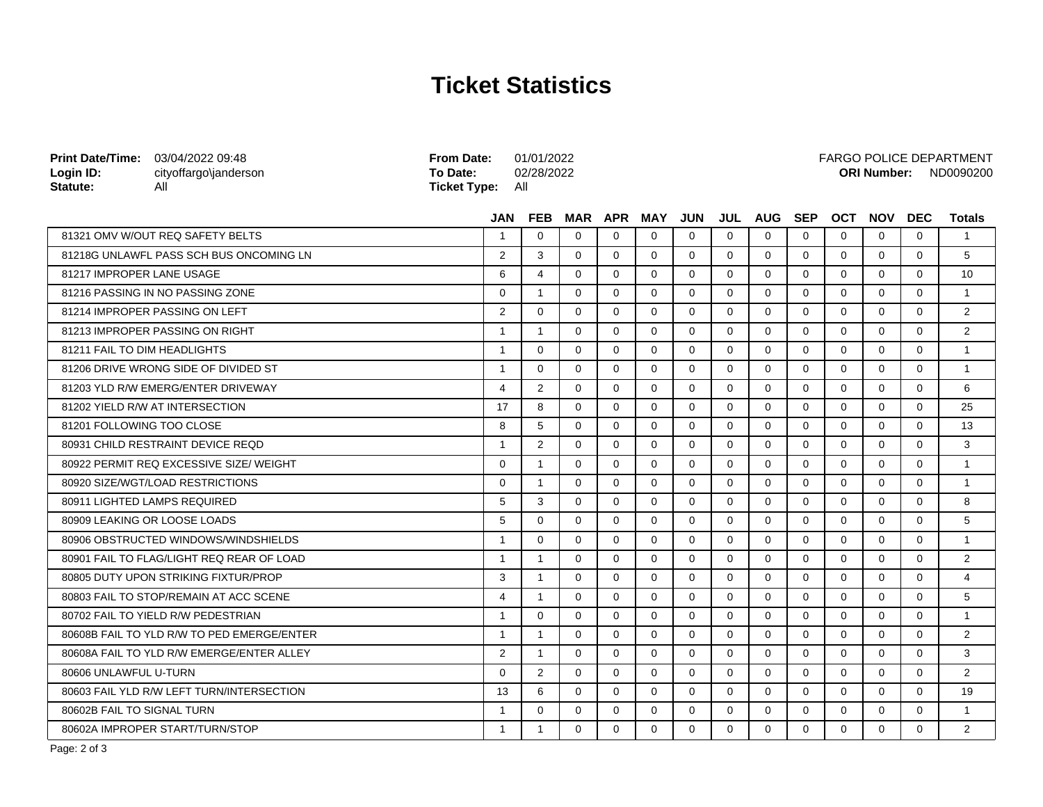## **Ticket Statistics**

| <b>Print Date/Time:</b> 03/04/2022 09:48<br>Login ID:<br>Statute: | cityoffargo\janderson<br>All               | <b>From Date:</b><br>To Date:<br><b>Ticket Type:</b> | 01/01/2022<br>02/28/2022<br>All |          |             | <b>ORI Number:</b> |             |             |             |            |             |             |             | <b>FARGO POLICE DEPARTMENT</b><br>ND0090200 |  |  |
|-------------------------------------------------------------------|--------------------------------------------|------------------------------------------------------|---------------------------------|----------|-------------|--------------------|-------------|-------------|-------------|------------|-------------|-------------|-------------|---------------------------------------------|--|--|
|                                                                   |                                            | <b>JAN</b>                                           | <b>FEB</b>                      |          | MAR APR MAY |                    | <b>JUN</b>  | JUL         | <b>AUG</b>  | <b>SEP</b> | <b>OCT</b>  | <b>NOV</b>  | <b>DEC</b>  | <b>Totals</b>                               |  |  |
|                                                                   | 81321 OMV W/OUT REQ SAFETY BELTS           | $\mathbf{1}$                                         | $\Omega$                        | $\Omega$ | $\Omega$    | $\Omega$           | $\Omega$    | $\Omega$    | $\Omega$    | $\Omega$   | $\Omega$    | $\Omega$    | $\Omega$    | $\overline{1}$                              |  |  |
|                                                                   | 81218G UNLAWFL PASS SCH BUS ONCOMING LN    | $\overline{2}$                                       | 3                               | 0        | 0           | 0                  | $\mathbf 0$ | $\mathbf 0$ | 0           | 0          | $\mathbf 0$ | 0           | 0           | 5                                           |  |  |
| 81217 IMPROPER LANE USAGE                                         |                                            | 6                                                    | 4                               | $\Omega$ | $\Omega$    | $\Omega$           | $\Omega$    | $\Omega$    | $\Omega$    | $\Omega$   | $\Omega$    | $\Omega$    | $\Omega$    | 10                                          |  |  |
|                                                                   | 81216 PASSING IN NO PASSING ZONE           | $\Omega$                                             | $\mathbf{1}$                    | $\Omega$ | $\Omega$    | $\Omega$           | $\Omega$    | $\Omega$    | $\Omega$    | $\Omega$   | 0           | $\Omega$    | $\Omega$    | $\overline{1}$                              |  |  |
|                                                                   | 81214 IMPROPER PASSING ON LEFT             | $\overline{2}$                                       | $\Omega$                        | $\Omega$ | $\Omega$    | $\Omega$           | $\Omega$    | $\Omega$    | $\Omega$    | $\Omega$   | $\Omega$    | $\Omega$    | $\Omega$    | 2                                           |  |  |
|                                                                   | 81213 IMPROPER PASSING ON RIGHT            | $\overline{1}$                                       | $\mathbf{1}$                    | $\Omega$ | $\Omega$    | $\Omega$           | $\Omega$    | $\Omega$    | $\Omega$    | $\Omega$   | $\Omega$    | $\Omega$    | $\Omega$    | 2                                           |  |  |
| 81211 FAIL TO DIM HEADLIGHTS                                      |                                            | $\mathbf{1}$                                         | $\Omega$                        | $\Omega$ | $\mathbf 0$ | $\Omega$           | $\mathbf 0$ | $\mathbf 0$ | $\mathbf 0$ | 0          | $\mathbf 0$ | $\mathbf 0$ | $\mathbf 0$ | $\overline{1}$                              |  |  |
|                                                                   | 81206 DRIVE WRONG SIDE OF DIVIDED ST       | $\mathbf{1}$                                         | $\Omega$                        | $\Omega$ | $\Omega$    | $\Omega$           | $\Omega$    | $\Omega$    | $\Omega$    | 0          | $\Omega$    | $\Omega$    | $\Omega$    | $\overline{1}$                              |  |  |
|                                                                   | 81203 YLD R/W EMERG/ENTER DRIVEWAY         | 4                                                    | $\overline{2}$                  | $\Omega$ | $\Omega$    | $\Omega$           | $\Omega$    | $\Omega$    | $\Omega$    | $\Omega$   | $\Omega$    | $\Omega$    | $\Omega$    | 6                                           |  |  |
|                                                                   | 81202 YIELD R/W AT INTERSECTION            | 17                                                   | 8                               | $\Omega$ | $\Omega$    | $\Omega$           | $\Omega$    | $\Omega$    | $\Omega$    | $\Omega$   | $\Omega$    | $\Omega$    | $\Omega$    | 25                                          |  |  |
| 81201 FOLLOWING TOO CLOSE                                         |                                            | 8                                                    | 5                               | $\Omega$ | $\Omega$    | $\Omega$           | $\Omega$    | $\Omega$    | $\Omega$    | $\Omega$   | $\Omega$    | $\Omega$    | $\Omega$    | 13                                          |  |  |
|                                                                   | 80931 CHILD RESTRAINT DEVICE REQD          | $\mathbf{1}$                                         | $\overline{2}$                  | $\Omega$ | $\Omega$    | $\Omega$           | $\Omega$    | $\Omega$    | $\Omega$    | $\Omega$   | $\Omega$    | $\Omega$    | $\Omega$    | 3                                           |  |  |
|                                                                   | 80922 PERMIT REQ EXCESSIVE SIZE/ WEIGHT    | $\Omega$                                             | $\mathbf{1}$                    | $\Omega$ | $\Omega$    | $\Omega$           | $\Omega$    | $\Omega$    | $\Omega$    | $\Omega$   | $\Omega$    | $\Omega$    | $\Omega$    | $\overline{1}$                              |  |  |
|                                                                   | 80920 SIZE/WGT/LOAD RESTRICTIONS           | $\Omega$                                             | $\mathbf{1}$                    | $\Omega$ | $\Omega$    | $\Omega$           | $\Omega$    | $\Omega$    | $\Omega$    | 0          | $\Omega$    | $\Omega$    | $\Omega$    | $\overline{1}$                              |  |  |
|                                                                   | 80911 LIGHTED LAMPS REQUIRED               | 5                                                    | 3                               | $\Omega$ | $\Omega$    | $\Omega$           | $\Omega$    | $\mathbf 0$ | $\Omega$    | $\Omega$   | $\Omega$    | $\Omega$    | $\Omega$    | 8                                           |  |  |
|                                                                   | 80909 LEAKING OR LOOSE LOADS               | 5                                                    | $\Omega$                        | $\Omega$ | $\Omega$    | $\Omega$           | $\Omega$    | $\Omega$    | $\Omega$    | $\Omega$   | $\Omega$    | $\Omega$    | $\Omega$    | 5                                           |  |  |
|                                                                   | 80906 OBSTRUCTED WINDOWS/WINDSHIELDS       | $\mathbf{1}$                                         | $\Omega$                        | $\Omega$ | $\Omega$    | $\Omega$           | $\Omega$    | $\Omega$    | $\Omega$    | $\Omega$   | $\Omega$    | $\Omega$    | $\Omega$    | $\overline{1}$                              |  |  |
|                                                                   | 80901 FAIL TO FLAG/LIGHT REQ REAR OF LOAD  | $\mathbf{1}$                                         | $\mathbf{1}$                    | $\Omega$ | $\Omega$    | $\Omega$           | $\Omega$    | $\Omega$    | $\Omega$    | 0          | $\Omega$    | $\Omega$    | $\Omega$    | 2                                           |  |  |
|                                                                   | 80805 DUTY UPON STRIKING FIXTUR/PROP       | 3                                                    | $\mathbf{1}$                    | $\Omega$ | $\Omega$    | $\Omega$           | $\Omega$    | $\Omega$    | $\Omega$    | $\Omega$   | $\Omega$    | $\Omega$    | $\Omega$    | $\overline{4}$                              |  |  |
|                                                                   | 80803 FAIL TO STOP/REMAIN AT ACC SCENE     | 4                                                    | $\mathbf{1}$                    | $\Omega$ | $\Omega$    | $\Omega$           | $\Omega$    | $\Omega$    | $\Omega$    | $\Omega$   | $\Omega$    | $\Omega$    | $\Omega$    | 5                                           |  |  |
|                                                                   | 80702 FAIL TO YIELD R/W PEDESTRIAN         | $\mathbf{1}$                                         | $\Omega$                        | $\Omega$ | $\Omega$    | $\Omega$           | $\Omega$    | $\Omega$    | $\Omega$    | $\Omega$   | $\Omega$    | $\Omega$    | $\Omega$    | $\mathbf{1}$                                |  |  |
|                                                                   | 80608B FAIL TO YLD R/W TO PED EMERGE/ENTER | $\mathbf{1}$                                         | $\overline{1}$                  | $\Omega$ | $\Omega$    | $\Omega$           | $\Omega$    | $\Omega$    | $\Omega$    | $\Omega$   | $\Omega$    | $\Omega$    | $\Omega$    | 2                                           |  |  |
|                                                                   | 80608A FAIL TO YLD R/W EMERGE/ENTER ALLEY  | $\overline{2}$                                       | $\mathbf{1}$                    | 0        | $\mathbf 0$ | 0                  | $\mathbf 0$ | 0           | $\Omega$    | 0          | $\Omega$    | 0           | $\Omega$    | 3                                           |  |  |
| 80606 UNLAWFUL U-TURN                                             |                                            | $\Omega$                                             | 2                               | $\Omega$ | $\Omega$    | $\Omega$           | $\Omega$    | $\Omega$    | $\Omega$    | $\Omega$   | $\Omega$    | $\Omega$    | $\Omega$    | 2                                           |  |  |
|                                                                   | 80603 FAIL YLD R/W LEFT TURN/INTERSECTION  | 13                                                   | 6                               | $\Omega$ | $\Omega$    | $\Omega$           | $\Omega$    | $\Omega$    | $\Omega$    | $\Omega$   | $\Omega$    | $\Omega$    | $\Omega$    | 19                                          |  |  |
| 80602B FAIL TO SIGNAL TURN                                        |                                            | $\mathbf{1}$                                         | $\Omega$                        | $\Omega$ | $\Omega$    | $\Omega$           | $\Omega$    | $\Omega$    | $\Omega$    | $\Omega$   | $\Omega$    | $\Omega$    | $\Omega$    | $\mathbf{1}$                                |  |  |
|                                                                   | 80602A IMPROPER START/TURN/STOP            | $\mathbf{1}$                                         | $\mathbf 1$                     | $\Omega$ | $\Omega$    | $\Omega$           | $\Omega$    | $\Omega$    | $\Omega$    | $\Omega$   | $\Omega$    | $\Omega$    | $\Omega$    | 2                                           |  |  |